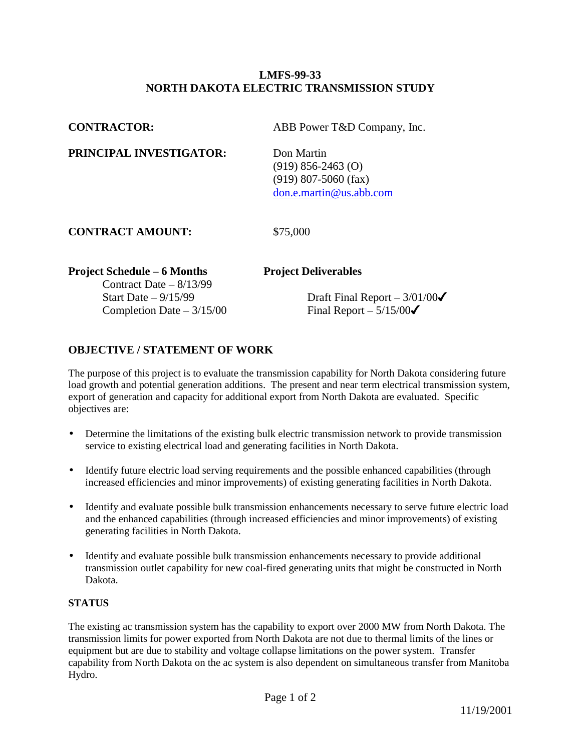## **LMFS-99-33 NORTH DAKOTA ELECTRIC TRANSMISSION STUDY**

| <b>CONTRACTOR:</b>                                             | ABB Power T&D Company, Inc.                                                               |
|----------------------------------------------------------------|-------------------------------------------------------------------------------------------|
| PRINCIPAL INVESTIGATOR:                                        | Don Martin<br>$(919)$ 856-2463 $(0)$<br>$(919)$ 807-5060 (fax)<br>don.e.martin@us.abb.com |
| <b>CONTRACT AMOUNT:</b>                                        | \$75,000                                                                                  |
| <b>Project Schedule – 6 Months</b><br>Contract Date $-8/13/99$ | <b>Project Deliverables</b>                                                               |
| Start Date $-9/15/99$<br>Completion Date $-3/15/00$            | Draft Final Report $-3/01/00\sigma$<br>Final Report $-5/15/00\checkmark$                  |

## **OBJECTIVE / STATEMENT OF WORK**

The purpose of this project is to evaluate the transmission capability for North Dakota considering future load growth and potential generation additions. The present and near term electrical transmission system, export of generation and capacity for additional export from North Dakota are evaluated. Specific objectives are:

- Determine the limitations of the existing bulk electric transmission network to provide transmission service to existing electrical load and generating facilities in North Dakota.
- Identify future electric load serving requirements and the possible enhanced capabilities (through increased efficiencies and minor improvements) of existing generating facilities in North Dakota.
- Identify and evaluate possible bulk transmission enhancements necessary to serve future electric load and the enhanced capabilities (through increased efficiencies and minor improvements) of existing generating facilities in North Dakota.
- Identify and evaluate possible bulk transmission enhancements necessary to provide additional transmission outlet capability for new coal-fired generating units that might be constructed in North Dakota.

## **STATUS**

The existing ac transmission system has the capability to export over 2000 MW from North Dakota. The transmission limits for power exported from North Dakota are not due to thermal limits of the lines or equipment but are due to stability and voltage collapse limitations on the power system. Transfer capability from North Dakota on the ac system is also dependent on simultaneous transfer from Manitoba Hydro.